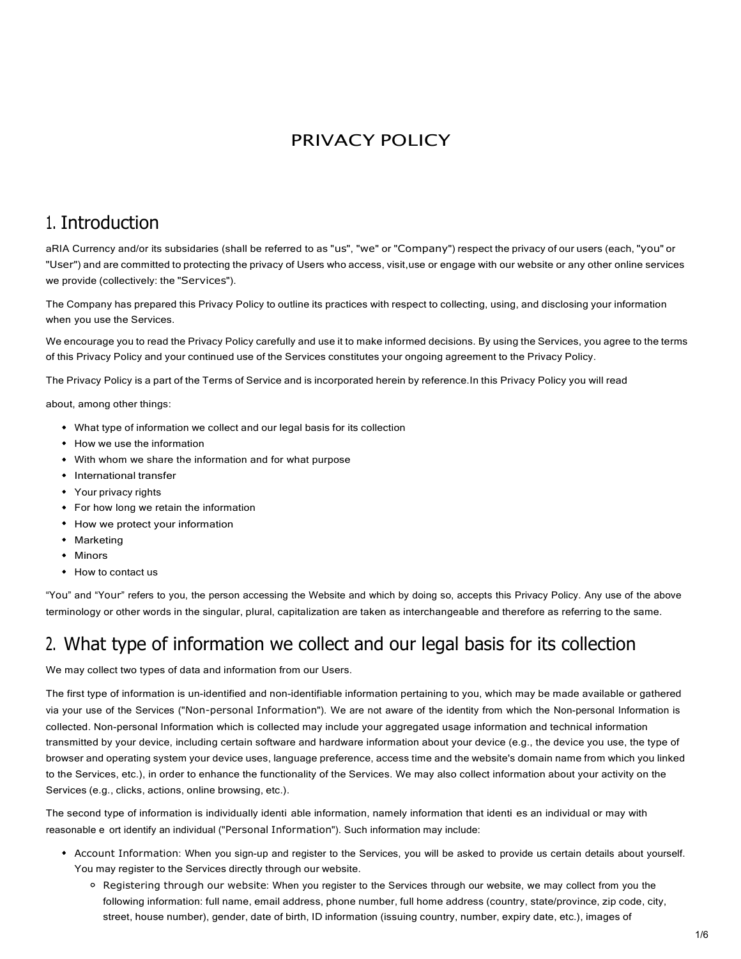#### PRIVACY POLICY

### 1. Introduction

aRIA Currency and/or its subsidaries (shall be referred to as "us", "we" or "Company") respect the privacy of our users (each, "you" or<br>"User") and are committed to protecting the privacy of Users who access, visit,use or we provide (collectively: the "Services").

The Company has prepared this Privacy Policy to outline its practices with respect to collecting, using, and disclosing your information when you use the Services.

We encourage you to read the Privacy Policy carefully and use it to make informed decisions. By using the Services, you agree to the terms of this Privacy Policy and your continued use of the Services constitutes your ongoing agreement to the Privacy Policy.

The Privacy Policy is a part of the Terms of Service and is incorporated herein by reference. In this Privacy Policy you will read

about, among other things:

- What type of information we collect and our legal basis for its collection
- How we use the information
- With whom we share the information and for what purpose
- International transfer
- Your privacy rights
- For how long we retain the information
- How we protect your information
- Marketing
- Minors
- How to contact us

"You" and "Your" refers to you, the person accessing the Website and which by doing so, accepts this Privacy Policy. Any use of the above terminology or other words in the singular, plural, capitalization are taken as interchangeable and therefore as referring to the same.

### 2. What type of information we collect and our legal basis for its collection

We may collect two types of data and information from our Users.

The first type of information is un-identified and non-identifiable information pertaining to you, which may be made available or gathered via your use of the Services ("Non-personal Information"). We are not aware of the identity from which the Non-personal Information is collected. Non-personal Information which is collected may include your aggregated usage information and technical information transmitted by your device, including certain software and hardware information about your device (e.g., the device you use, the type of browser and operating system your device uses, language preference, access time and the website's domain name from which you linked to the Services, etc.), in order to enhance the functionality of the Services. We may also collect information about your activity on the Services (e.g., clicks, actions, online browsing, etc.).

The second type of information is individually identi able information, namely information that identi es an individual or may with reasonable e ort identify an individual ("Personal Information"). Such information may include:

- Account Information: When you sign-up and register to the Services, you will be asked to provide us certain details about yourself. You may register to the Services directly through our website.
	- Registering through our website: When you register to the Services through our website, we may collect from you the following information: full name, email address, phone number, full home address (country, state/province, zip code, city, street, house number), gender, date of birth, ID information (issuing country, number, expiry date, etc.), images of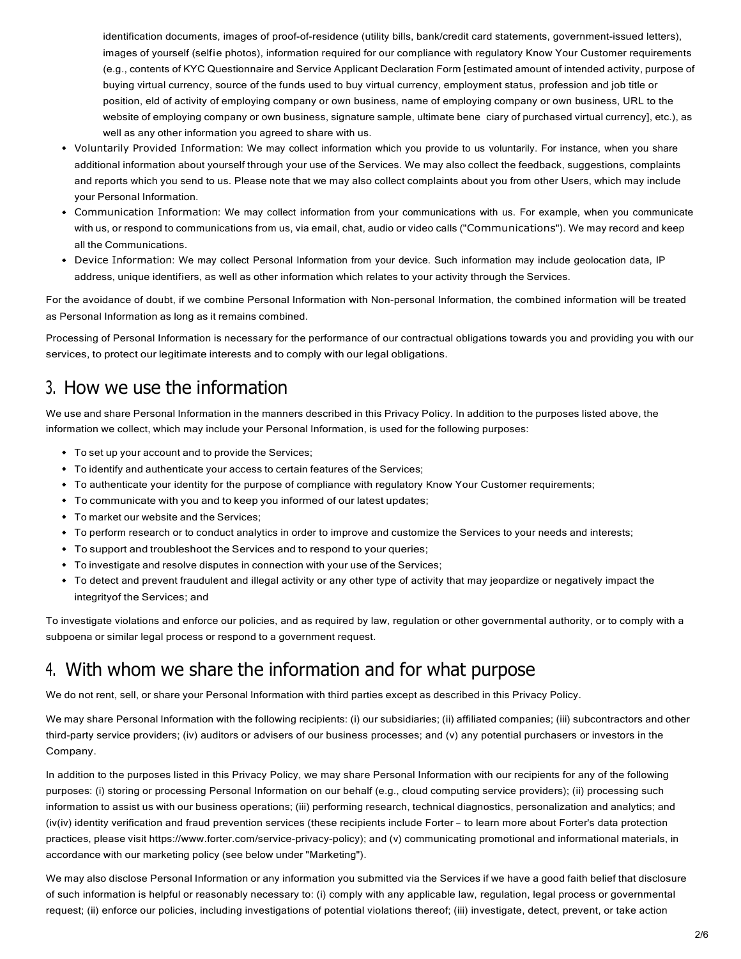identification documents, images of proof-of-residence (utility bills, bank/credit card statements, government-issued letters), images of yourself (selfie photos), information required for our compliance with regulatory Know Your Customer requirements (e.g., contents of KYC Questionnaire and Service Applicant Declaration Form [estimated amount of intended activity, purpose of buying virtual currency, source of the funds used to buy virtual currency, employment status, profession and job title or position, eld of activity of employing company or own business, name of employing company or own business, URL to the website of employing company or own business, signature sample, ultimate bene ciary of purchased virtual currency], etc.), as well as any other information you agreed to share with us.

- Voluntarily Provided Information: We may collect information which you provide to us voluntarily. For instance, when you share additional information about yourself through your use of the Services. We may also collect the feedback, suggestions, complaints and reports which you send to us. Please note that we may also collect complaints about you from other Users, which may include your Personal Information.
- Communication Information: We may collect information from your communications with us. For example, when you communicate with us, or respond to communications from us, via email, chat, audio or video calls ("Communications"). We may record and keep all the Communications.
- Device Information: We may collect Personal Information from your device. Such information may include geolocation data, IP address, unique identifiers, as well as other information which relates to your activity through the Services.

For the avoidance of doubt, if we combine Personal Information with Non-personal Information, the combined information will be treated as Personal Information as long as it remains combined.

Processing of Personal Information is necessary for the performance of our contractual obligations towards you and providing you with our services, to protect our legitimate interests and to comply with our legal obligations.

#### 3. How we use the information

We use and share Personal Information in the manners described in this Privacy Policy. In addition to the purposes listed above, the information we collect, which may include your Personal Information, is used for the following purposes:

- To set up your account and to provide the Services;
- To identify and authenticate your access to certain features of the Services;
- To authenticate your identity for the purpose of compliance with regulatory Know Your Customer requirements;
- To communicate with you and to keep you informed of our latest updates;
- To market our website and the Services;
- To perform research or to conduct analytics in order to improve and customize the Services to your needs and interests;
- To support and troubleshoot the Services and to respond to your queries;
- To investigate and resolve disputes in connection with your use of the Services;
- To detect and prevent fraudulent and illegal activity or any other type of activity that may jeopardize or negatively impact the integrity of the Services; and

To investigate violations and enforce our policies, and as required by law, regulation or other governmental authority, or to comply with a subpoena or similar legal process or respond to a government request.

### 4. With whom we share the information and for what purpose

We do not rent, sell, or share your Personal Information with third parties except as described in this Privacy Policy.

We may share Personal Information with the following recipients: (i) our subsidiaries; (ii) affiliated companies; (iii) subcontractors and other third-party service providers; (iv) auditors or advisers of our business processes; and (v) any potential purchasers or investors in the Company.

In addition to the purposes listed in this Privacy Policy, we may share Personal Information with our recipients for any of the following purposes: (i) storing or processing Personal Information on our behalf (e.g., cloud computing service providers); (ii) processing such information to assist us with our business operations; (iii) performing research, technical diagnostics, personalization and analytics; and (iv(iv) identity verification and fraud prevention services (these recipients include Forter – to learn more about Forter's data protection practices, please visit https://www.forter.com/service-privacy-policy); and (v) communicating promotional and informational materials, in accordance with our marketing policy (see below under "Marketing").

We may also disclose Personal Information or any information you submitted via the Services if we have a good faith belief that disclosure of such information is helpful or reasonably necessary to: (i) comply with any applicable law, regulation, legal process or governmental request; (ii) enforce our policies, including investigations of potential violations thereof; (iii) investigate, detect, prevent, or take action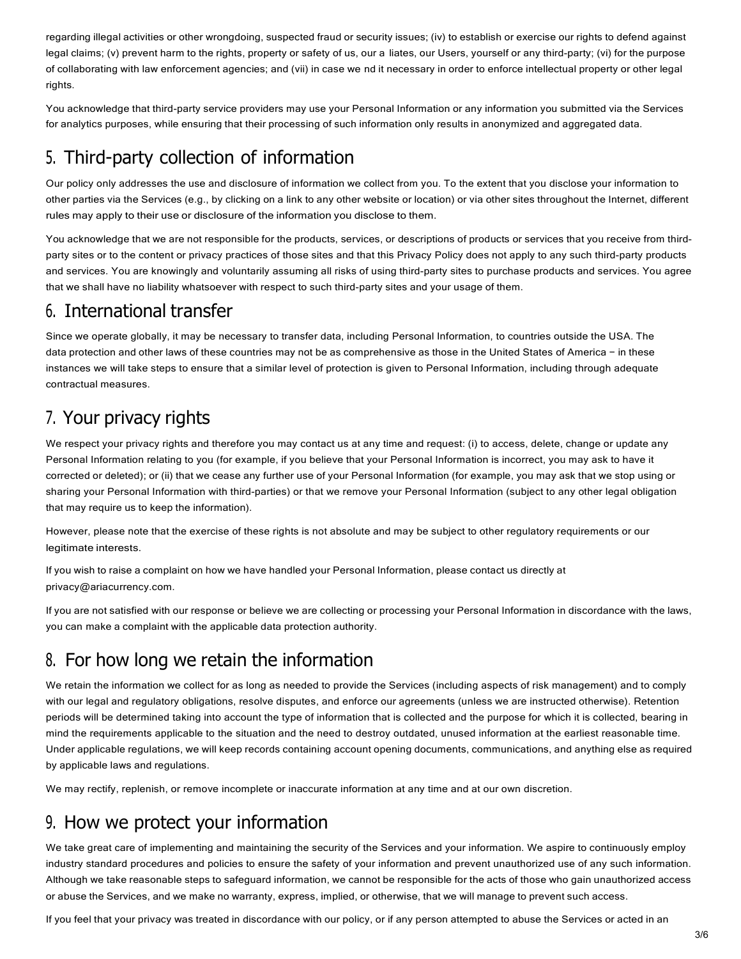regarding illegal activities or other wrongdoing, suspected fraud or security issues; (iv) to establish or exercise our rights to defend against legal claims; (v) prevent harm to the rights, property or safety of us, our a liates, our Users, yourself or any third-party; (vi) for the purpose of collaborating with law enforcement agencies; and (vii) in case we nd it necessary in order to enforce intellectual property or other legal rights.

You acknowledge that third-party service providers may use your Personal Information or any information you submitted via the Services for analytics purposes, while ensuring that their processing of such information only results in anonymized and aggregated data.

# 5. Third-party collection of information

Our policy only addresses the use and disclosure of information we collect from you. To the extent that you disclose your information to other parties via the Services (e.g., by clicking on a link to any other website or location) or via other sites throughout the Internet, different rules may apply to their use or disclosure of the information you disclose to them.

You acknowledge that we are not responsible for the products, services, or descriptions of products or services that you receive from thirdparty sites or to the content or privacy practices of those sites and that this Privacy Policy does not apply to any such third-party products and services. You are knowingly and voluntarily assuming all risks of using third-party sites to purchase products and services. You agree that we shall have no liability whatsoever with respect to such third-party sites and your usage of them.

### 6. International transfer

Since we operate globally, it may be necessary to transfer data, including Personal Information, to countries outside the USA. The data protection and other laws of these countries may not be as comprehensive as those in the United States of America - in these instances we will take steps to ensure that a similar level of protection is given to Personal Information, including through adequate contractual measures.

# 7. Your privacy rights

We respect your privacy rights and therefore you may contact us at any time and request: (i) to access, delete, change or update any Personal Information relating to you (for example, if you believe that your Personal Information is incorrect, you may ask to have it corrected or deleted); or (ii) that we cease any further use of your Personal Information (for example, you may ask that we stop using or sharing your Personal Information with third-parties) or that we remove your Personal Information (subject to any other legal obligation that may require us to keep the information).

However, please note that the exercise of these rights is not absolute and may be subject to other regulatory requirements or our legitimate interests.

If you wish to raise a complaint on how we have handled your Personal Information, please contact us directly at privacy@ariacurrency.com.

If you are not satisfied with our response or believe we are collecting or processing your Personal Information in discordance with the laws, you can make a complaint with the applicable data protection authority.

# 8. For how long we retain the information

We retain the information we collect for as long as needed to provide the Services (including aspects of risk management) and to comply with our legal and regulatory obligations, resolve disputes, and enforce our agreements (unless we are instructed otherwise). Retention periods will be determined taking into account the type of information that is collected and the purpose for which it is collected, bearing in mind the requirements applicable to the situation and the need to destroy outdated, unused information at the earliest reasonable time. Under applicable regulations, we will keep records containing account opening documents, communications, and anything else as required by applicable laws and regulations.

We may rectify, replenish, or remove incomplete or inaccurate information at any time and at our own discretion.

### 9. How we protect your information

We take great care of implementing and maintaining the security of the Services and your information. We aspire to continuously employ industry standard procedures and policies to ensure the safety of your information and prevent unauthorized use of any such information. Although we take reasonable steps to safeguard information, we cannot be responsible for the acts of those who gain unauthorized access or abuse the Services, and we make no warranty, express, implied, or otherwise, that we will manage to prevent such access.

If you feel that your privacy was treated in discordance with our policy, or if any person attempted to abuse the Services or acted in an